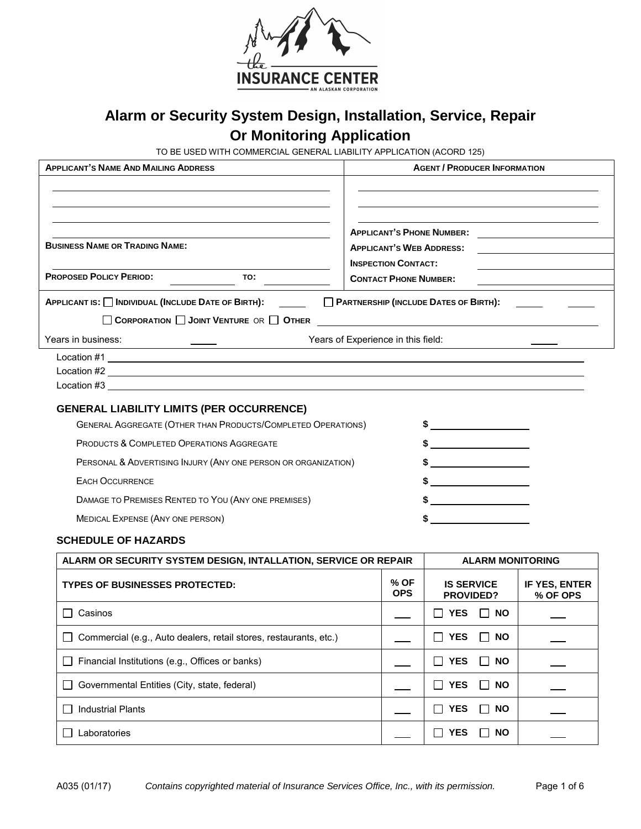

# **Alarm or Security System Design, Installation, Service, Repair Or Monitoring Application**

TO BE USED WITH COMMERCIAL GENERAL LIABILITY APPLICATION (ACORD 125)

| <b>APPLICANT'S NAME AND MAILING ADDRESS</b>                                                                      |                                    |                                                            | <b>AGENT / PRODUCER INFORMATION</b>                                 |                           |
|------------------------------------------------------------------------------------------------------------------|------------------------------------|------------------------------------------------------------|---------------------------------------------------------------------|---------------------------|
| <b>BUSINESS NAME OR TRADING NAME:</b><br><b>PROPOSED POLICY PERIOD:</b><br>TO:                                   |                                    | <b>INSPECTION CONTACT:</b><br><b>CONTACT PHONE NUMBER:</b> | <b>APPLICANT'S PHONE NUMBER:</b><br><b>APPLICANT'S WEB ADDRESS:</b> |                           |
|                                                                                                                  |                                    |                                                            |                                                                     |                           |
| APPLICANT IS: □ INDIVIDUAL (INCLUDE DATE OF BIRTH): _____<br>CORPORATION JOINT VENTURE OR OTHER                  |                                    |                                                            | PARTNERSHIP (INCLUDE DATES OF BIRTH):                               |                           |
| Years in business:<br><u> 1989 - Jan Sterlinger, fransk politiker (d. 1989)</u>                                  | Years of Experience in this field: |                                                            |                                                                     |                           |
|                                                                                                                  |                                    |                                                            |                                                                     |                           |
| <b>GENERAL LIABILITY LIMITS (PER OCCURRENCE)</b><br>GENERAL AGGREGATE (OTHER THAN PRODUCTS/COMPLETED OPERATIONS) |                                    |                                                            | \$                                                                  |                           |
| PRODUCTS & COMPLETED OPERATIONS AGGREGATE                                                                        |                                    |                                                            | $\frac{1}{2}$                                                       |                           |
| PERSONAL & ADVERTISING INJURY (ANY ONE PERSON OR ORGANIZATION)                                                   |                                    |                                                            |                                                                     |                           |
| <b>EACH OCCURRENCE</b>                                                                                           |                                    |                                                            | $\frac{1}{2}$                                                       |                           |
| DAMAGE TO PREMISES RENTED TO YOU (ANY ONE PREMISES)                                                              |                                    |                                                            | $\sim$                                                              |                           |
| MEDICAL EXPENSE (ANY ONE PERSON)                                                                                 |                                    |                                                            | \$                                                                  |                           |
| <b>SCHEDULE OF HAZARDS</b>                                                                                       |                                    |                                                            |                                                                     |                           |
| ALARM OR SECURITY SYSTEM DESIGN, INTALLATION, SERVICE OR REPAIR                                                  |                                    |                                                            | <b>ALARM MONITORING</b>                                             |                           |
| <b>TYPES OF BUSINESSES PROTECTED:</b>                                                                            |                                    | % OF<br><b>OPS</b>                                         | <b>IS SERVICE</b><br>PROVIDED?                                      | IF YES, ENTER<br>% OF OPS |
| Casinos                                                                                                          |                                    |                                                            | $\Box$ YES $\Box$ NO                                                |                           |
| Commercial (e.g., Auto dealers, retail stores, restaurants, etc.)                                                |                                    |                                                            | <b>YES</b><br><b>NO</b>                                             |                           |
| Financial Institutions (e.g., Offices or banks)                                                                  |                                    |                                                            | $\Box$ YES<br><b>NO</b>                                             |                           |
| Governmental Entities (City, state, federal)                                                                     |                                    |                                                            | $\Box$ YES<br><b>NO</b>                                             |                           |
| <b>Industrial Plants</b>                                                                                         |                                    |                                                            | $\Box$ YES<br><b>NO</b>                                             |                           |
| Laboratories                                                                                                     |                                    |                                                            | <b>YES</b><br><b>NO</b>                                             |                           |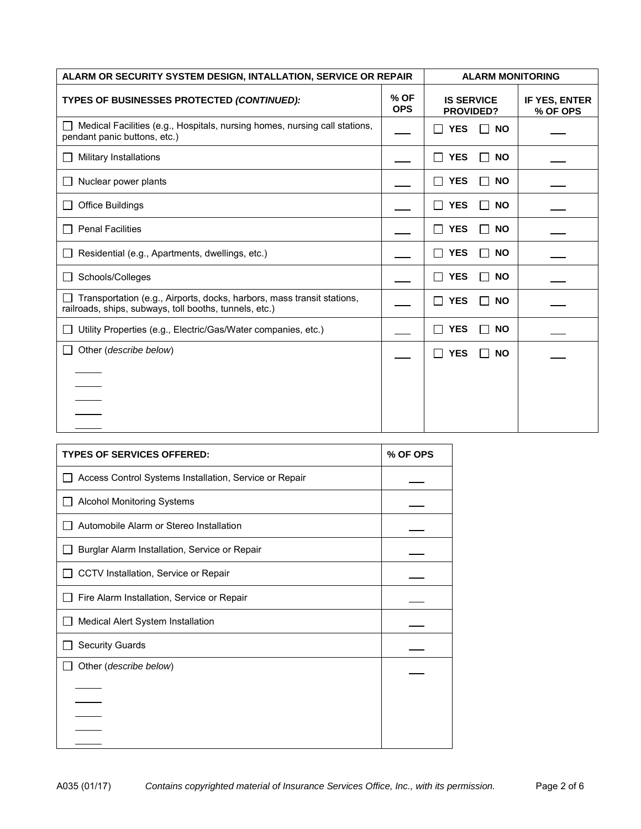| ALARM OR SECURITY SYSTEM DESIGN, INTALLATION, SERVICE OR REPAIR                                                                  |                    | <b>ALARM MONITORING</b>                   |                           |
|----------------------------------------------------------------------------------------------------------------------------------|--------------------|-------------------------------------------|---------------------------|
| TYPES OF BUSINESSES PROTECTED (CONTINUED):                                                                                       | % OF<br><b>OPS</b> | <b>IS SERVICE</b><br><b>PROVIDED?</b>     | IF YES, ENTER<br>% OF OPS |
| Medical Facilities (e.g., Hospitals, nursing homes, nursing call stations,<br>pendant panic buttons, etc.)                       |                    | <b>YES</b><br><b>NO</b>                   |                           |
| Military Installations                                                                                                           |                    | <b>YES</b><br><b>NO</b><br>$\blacksquare$ |                           |
| Nuclear power plants                                                                                                             |                    | <b>YES</b><br><b>NO</b>                   |                           |
| <b>Office Buildings</b>                                                                                                          |                    | <b>YES</b><br><b>NO</b>                   |                           |
| <b>Penal Facilities</b>                                                                                                          |                    | <b>YES</b><br><b>NO</b>                   |                           |
| Residential (e.g., Apartments, dwellings, etc.)                                                                                  |                    | <b>YES</b><br><b>NO</b>                   |                           |
| Schools/Colleges                                                                                                                 |                    | <b>YES</b><br><b>NO</b><br>$\mathbf{I}$   |                           |
| Transportation (e.g., Airports, docks, harbors, mass transit stations,<br>railroads, ships, subways, toll booths, tunnels, etc.) |                    | <b>YES</b><br><b>NO</b>                   |                           |
| Utility Properties (e.g., Electric/Gas/Water companies, etc.)                                                                    |                    | <b>YES</b><br><b>NO</b>                   |                           |
| Other (describe below)                                                                                                           |                    | <b>YES</b><br><b>NO</b>                   |                           |
|                                                                                                                                  |                    |                                           |                           |
|                                                                                                                                  |                    |                                           |                           |
|                                                                                                                                  |                    |                                           |                           |
|                                                                                                                                  |                    |                                           |                           |

| <b>TYPES OF SERVICES OFFERED:</b>                      | % OF OPS |
|--------------------------------------------------------|----------|
| Access Control Systems Installation, Service or Repair |          |
| <b>Alcohol Monitoring Systems</b>                      |          |
| Automobile Alarm or Stereo Installation                |          |
| Burglar Alarm Installation, Service or Repair          |          |
| CCTV Installation, Service or Repair                   |          |
| Fire Alarm Installation, Service or Repair             |          |
| Medical Alert System Installation                      |          |
| <b>Security Guards</b>                                 |          |
| Other ( <i>describe below</i> )                        |          |
|                                                        |          |
|                                                        |          |
|                                                        |          |
|                                                        |          |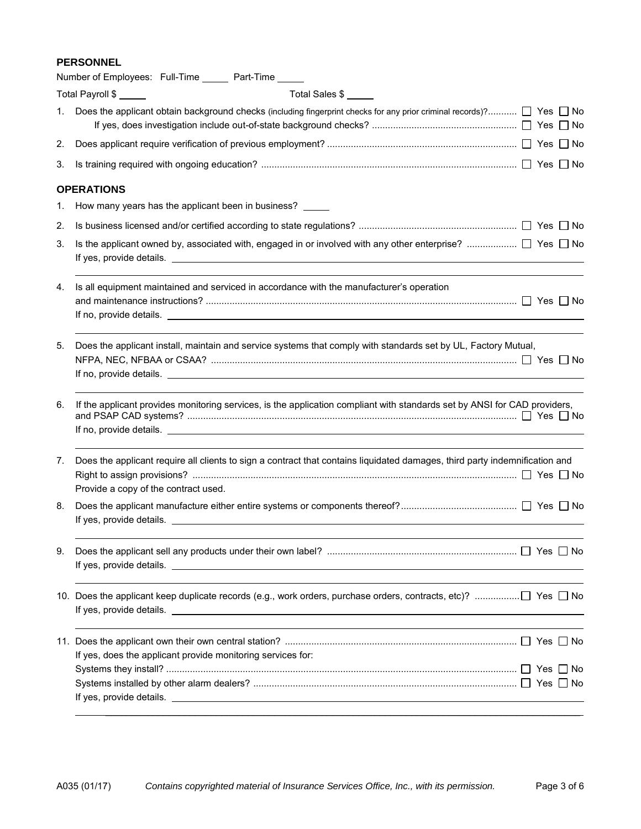# **PERSONNEL**

|    | Number of Employees: Full-Time ______ Part-Time _____                                                                                                                                                                                                                                                                                                       |
|----|-------------------------------------------------------------------------------------------------------------------------------------------------------------------------------------------------------------------------------------------------------------------------------------------------------------------------------------------------------------|
|    | Total Payroll \$<br>Total Sales \$                                                                                                                                                                                                                                                                                                                          |
| 1. | Does the applicant obtain background checks (including fingerprint checks for any prior criminal records)? $\Box$ Yes $\Box$ No                                                                                                                                                                                                                             |
| 2. |                                                                                                                                                                                                                                                                                                                                                             |
| 3. |                                                                                                                                                                                                                                                                                                                                                             |
|    | <b>OPERATIONS</b>                                                                                                                                                                                                                                                                                                                                           |
| 1. | How many years has the applicant been in business?                                                                                                                                                                                                                                                                                                          |
| 2. |                                                                                                                                                                                                                                                                                                                                                             |
| 3. |                                                                                                                                                                                                                                                                                                                                                             |
| 4. | Is all equipment maintained and serviced in accordance with the manufacturer's operation                                                                                                                                                                                                                                                                    |
| 5. | Does the applicant install, maintain and service systems that comply with standards set by UL, Factory Mutual,                                                                                                                                                                                                                                              |
| 6. | If the applicant provides monitoring services, is the application compliant with standards set by ANSI for CAD providers,<br>If no, provide details. The contract of the contract of the contract of the contract of the contract of the contract of the contract of the contract of the contract of the contract of the contract of the contract of the co |
| 7. | Does the applicant require all clients to sign a contract that contains liquidated damages, third party indemnification and<br>Provide a copy of the contract used.                                                                                                                                                                                         |
| 8. |                                                                                                                                                                                                                                                                                                                                                             |
| 9. |                                                                                                                                                                                                                                                                                                                                                             |
|    |                                                                                                                                                                                                                                                                                                                                                             |
|    | If yes, does the applicant provide monitoring services for:                                                                                                                                                                                                                                                                                                 |
|    |                                                                                                                                                                                                                                                                                                                                                             |
|    |                                                                                                                                                                                                                                                                                                                                                             |
|    |                                                                                                                                                                                                                                                                                                                                                             |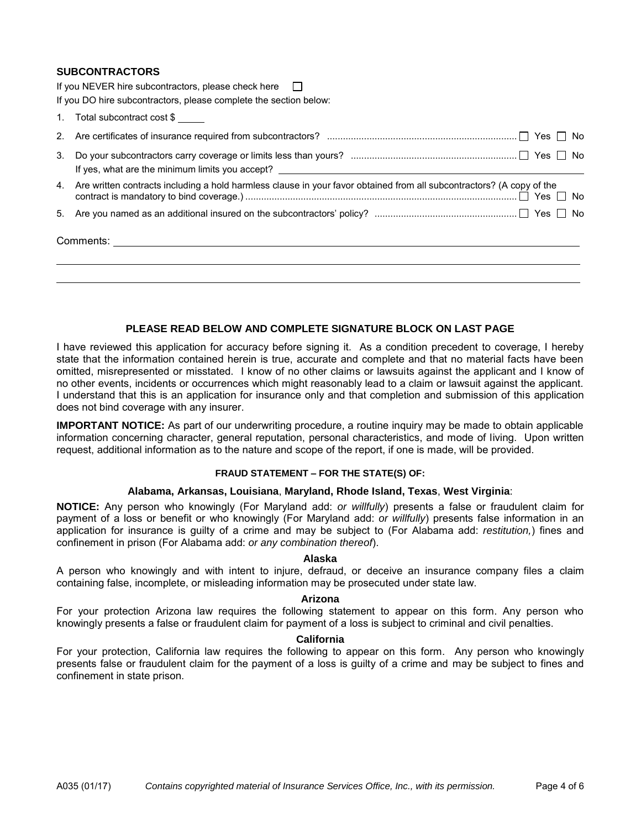# **SUBCONTRACTORS**

If you NEVER hire subcontractors, please check here  $\Box$ 

| If you DO hire subcontractors, please complete the section below:                                                        |
|--------------------------------------------------------------------------------------------------------------------------|
| 1. Total subcontract cost \$                                                                                             |
|                                                                                                                          |
|                                                                                                                          |
| 4. Are written contracts including a hold harmless clause in your favor obtained from all subcontractors? (A copy of the |
|                                                                                                                          |
|                                                                                                                          |
|                                                                                                                          |

# **PLEASE READ BELOW AND COMPLETE SIGNATURE BLOCK ON LAST PAGE**

I have reviewed this application for accuracy before signing it. As a condition precedent to coverage, I hereby state that the information contained herein is true, accurate and complete and that no material facts have been omitted, misrepresented or misstated. I know of no other claims or lawsuits against the applicant and I know of no other events, incidents or occurrences which might reasonably lead to a claim or lawsuit against the applicant. I understand that this is an application for insurance only and that completion and submission of this application does not bind coverage with any insurer.

**IMPORTANT NOTICE:** As part of our underwriting procedure, a routine inquiry may be made to obtain applicable information concerning character, general reputation, personal characteristics, and mode of living. Upon written request, additional information as to the nature and scope of the report, if one is made, will be provided.

# **FRAUD STATEMENT – FOR THE STATE(S) OF:**

#### **Alabama, Arkansas, Louisiana**, **Maryland, Rhode Island, Texas**, **West Virginia**:

**NOTICE:** Any person who knowingly (For Maryland add: *or willfully*) presents a false or fraudulent claim for payment of a loss or benefit or who knowingly (For Maryland add: *or willfully*) presents false information in an application for insurance is guilty of a crime and may be subject to (For Alabama add: *restitution,*) fines and confinement in prison (For Alabama add: *or any combination thereof*).

# **Alaska**

A person who knowingly and with intent to injure, defraud, or deceive an insurance company files a claim containing false, incomplete, or misleading information may be prosecuted under state law.

#### **Arizona**

For your protection Arizona law requires the following statement to appear on this form. Any person who knowingly presents a false or fraudulent claim for payment of a loss is subject to criminal and civil penalties.

#### **California**

For your protection, California law requires the following to appear on this form. Any person who knowingly presents false or fraudulent claim for the payment of a loss is guilty of a crime and may be subject to fines and confinement in state prison.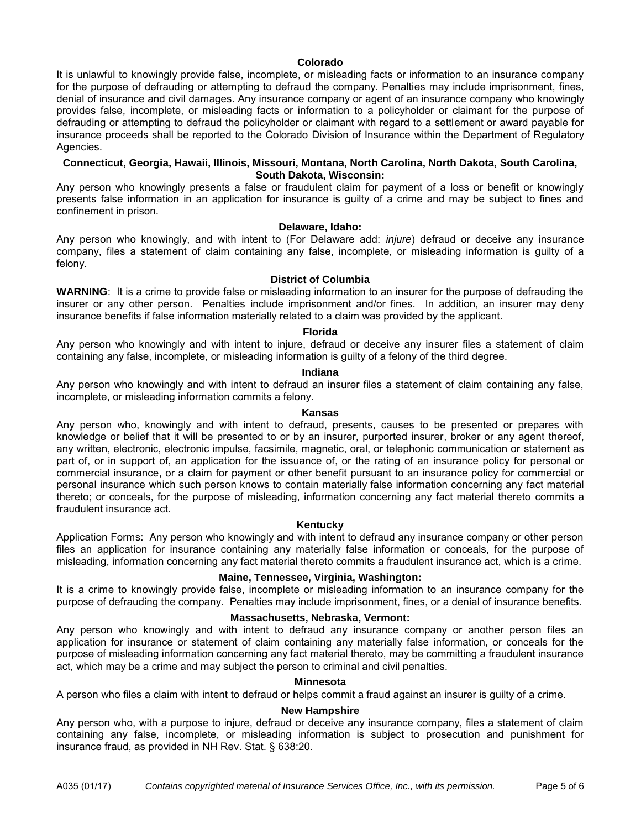# **Colorado**

It is unlawful to knowingly provide false, incomplete, or misleading facts or information to an insurance company for the purpose of defrauding or attempting to defraud the company. Penalties may include imprisonment, fines, denial of insurance and civil damages. Any insurance company or agent of an insurance company who knowingly provides false, incomplete, or misleading facts or information to a policyholder or claimant for the purpose of defrauding or attempting to defraud the policyholder or claimant with regard to a settlement or award payable for insurance proceeds shall be reported to the Colorado Division of Insurance within the Department of Regulatory Agencies.

# **Connecticut, Georgia, Hawaii, Illinois, Missouri, Montana, North Carolina, North Dakota, South Carolina, South Dakota, Wisconsin:**

Any person who knowingly presents a false or fraudulent claim for payment of a loss or benefit or knowingly presents false information in an application for insurance is guilty of a crime and may be subject to fines and confinement in prison.

**Delaware, Idaho:** 

Any person who knowingly, and with intent to (For Delaware add: *injure*) defraud or deceive any insurance company, files a statement of claim containing any false, incomplete, or misleading information is guilty of a felony.

# **District of Columbia**

**WARNING**: It is a crime to provide false or misleading information to an insurer for the purpose of defrauding the insurer or any other person. Penalties include imprisonment and/or fines. In addition, an insurer may deny insurance benefits if false information materially related to a claim was provided by the applicant.

# **Florida**

Any person who knowingly and with intent to injure, defraud or deceive any insurer files a statement of claim containing any false, incomplete, or misleading information is guilty of a felony of the third degree.

# **Indiana**

Any person who knowingly and with intent to defraud an insurer files a statement of claim containing any false, incomplete, or misleading information commits a felony.

#### **Kansas**

Any person who, knowingly and with intent to defraud, presents, causes to be presented or prepares with knowledge or belief that it will be presented to or by an insurer, purported insurer, broker or any agent thereof, any written, electronic, electronic impulse, facsimile, magnetic, oral, or telephonic communication or statement as part of, or in support of, an application for the issuance of, or the rating of an insurance policy for personal or commercial insurance, or a claim for payment or other benefit pursuant to an insurance policy for commercial or personal insurance which such person knows to contain materially false information concerning any fact material thereto; or conceals, for the purpose of misleading, information concerning any fact material thereto commits a fraudulent insurance act.

#### **Kentucky**

Application Forms: Any person who knowingly and with intent to defraud any insurance company or other person files an application for insurance containing any materially false information or conceals, for the purpose of misleading, information concerning any fact material thereto commits a fraudulent insurance act, which is a crime.

# **Maine, Tennessee, Virginia, Washington:**

It is a crime to knowingly provide false, incomplete or misleading information to an insurance company for the purpose of defrauding the company. Penalties may include imprisonment, fines, or a denial of insurance benefits.

# **Massachusetts, Nebraska, Vermont:**

Any person who knowingly and with intent to defraud any insurance company or another person files an application for insurance or statement of claim containing any materially false information, or conceals for the purpose of misleading information concerning any fact material thereto, may be committing a fraudulent insurance act, which may be a crime and may subject the person to criminal and civil penalties.

#### **Minnesota**

A person who files a claim with intent to defraud or helps commit a fraud against an insurer is guilty of a crime.

# **New Hampshire**

Any person who, with a purpose to injure, defraud or deceive any insurance company, files a statement of claim containing any false, incomplete, or misleading information is subject to prosecution and punishment for insurance fraud, as provided in NH Rev. Stat. § 638:20.